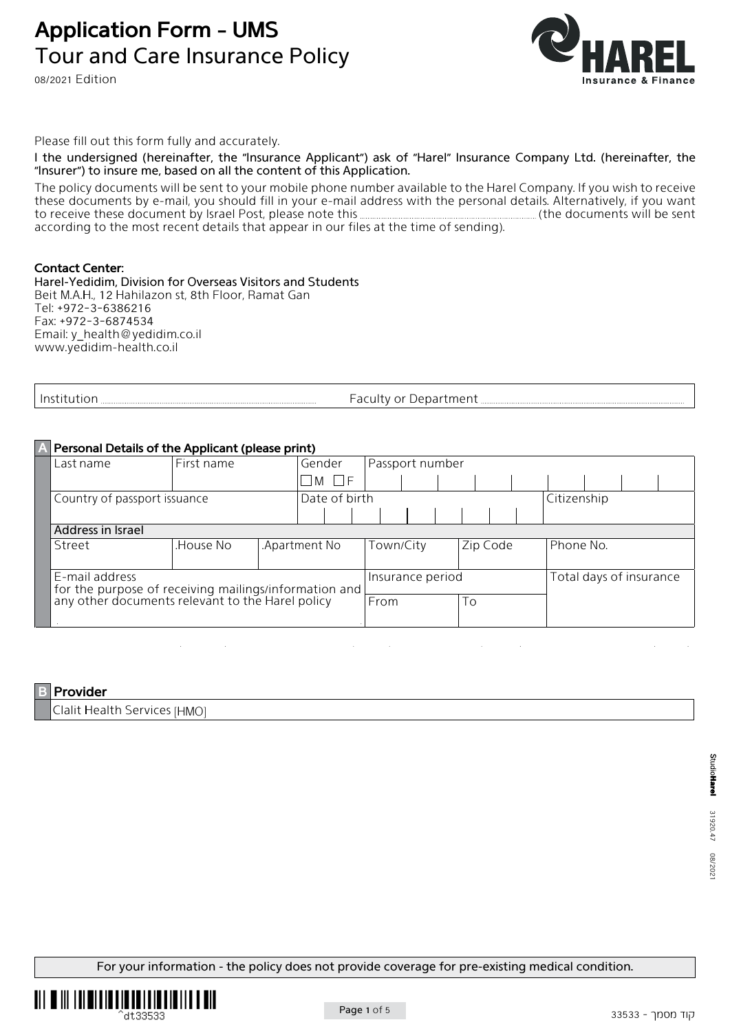# **Application Form - UMS** Tour and Care Insurance Policy

08/2021 Edition



Please fill out this form fully and accurately.

I the undersigned (hereinafter, the "Insurance Applicant") ask of "Harel" Insurance Company Ltd. (hereinafter, the "Insurer") to insure me, based on all the content of this Application.

The policy documents will be sent to your mobile phone number available to the Harel Company. If you wish to receive these documents by e-mail, you should fill in your e-mail address with the personal details. Alternatively, if you want<br>to receive these document by Israel Post, please note this **mail and an array and the documents will** sent be will documents the (this note please ,Post Israel by document these receive to according to the most recent details that appear in our files at the time of sending).

#### **Contact Center:**

Harel-Yedidim, Division for Overseas Visitors and Students Beit M.A.H., 12 Hahilazon st, 8th Floor, Ramat Gan Tel: +972-3-6386216 Fax: +972-3-6874534 Email: y\_health@yedidim.co.il www.yedidim-health.co.il

| nstitutiol<br>awu<br>. | ---<br>JAN<br>Ωľ<br>unent<br>ubu:<br>$\mathbf{L}$ |
|------------------------|---------------------------------------------------|
|------------------------|---------------------------------------------------|

## **A** Personal Details of the Applicant (please print)

| Last name                                                                                                                         | First name |  | Gender        |                   | Passport number  |  |          |  |  |                         |  |  |  |  |
|-----------------------------------------------------------------------------------------------------------------------------------|------------|--|---------------|-------------------|------------------|--|----------|--|--|-------------------------|--|--|--|--|
|                                                                                                                                   |            |  |               | $' \Box M \Box F$ |                  |  |          |  |  |                         |  |  |  |  |
| Country of passport issuance                                                                                                      |            |  | Date of birth |                   |                  |  |          |  |  | Citizenship             |  |  |  |  |
|                                                                                                                                   |            |  |               |                   |                  |  |          |  |  |                         |  |  |  |  |
| Address in Israel                                                                                                                 |            |  |               |                   |                  |  |          |  |  |                         |  |  |  |  |
| Street                                                                                                                            | House No.  |  | Apartment No. |                   | Town/City        |  | Zip Code |  |  | Phone No.               |  |  |  |  |
|                                                                                                                                   |            |  |               |                   |                  |  |          |  |  |                         |  |  |  |  |
| E-mail address<br>  for the purpose of receiving mailings/information and  <br>  any other documents relevant to the Harel policy |            |  |               |                   | Insurance period |  |          |  |  | Total days of insurance |  |  |  |  |
|                                                                                                                                   |            |  |               |                   | From             |  | To       |  |  |                         |  |  |  |  |
|                                                                                                                                   |            |  |               |                   |                  |  |          |  |  |                         |  |  |  |  |

## **Provider**

Clalit Health Services [HMO]

For your information - the policy does not provide coverage for pre-existing medical condition.



Page 1 of 5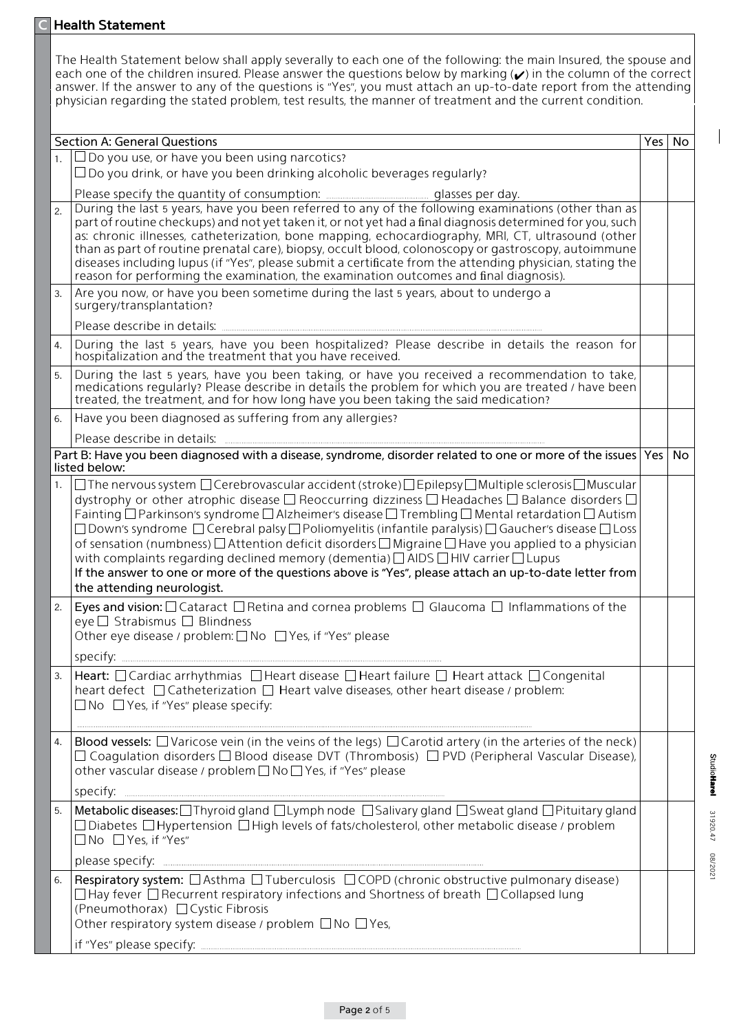|    | <b>Health Statement</b>                                                                                                                                                                                                                                                                                                                                                                                                                                                                                                                                                                                                                                                                                                                                                                                                                                                       |       |    |
|----|-------------------------------------------------------------------------------------------------------------------------------------------------------------------------------------------------------------------------------------------------------------------------------------------------------------------------------------------------------------------------------------------------------------------------------------------------------------------------------------------------------------------------------------------------------------------------------------------------------------------------------------------------------------------------------------------------------------------------------------------------------------------------------------------------------------------------------------------------------------------------------|-------|----|
|    | The Health Statement below shall apply severally to each one of the following: the main Insured, the spouse and<br>each one of the children insured. Please answer the questions below by marking (v) in the column of the correct<br>answer. If the answer to any of the questions is "Yes", you must attach an up-to-date report from the attending<br>physician regarding the stated problem, test results, the manner of treatment and the current condition.                                                                                                                                                                                                                                                                                                                                                                                                             |       |    |
|    | <b>Section A: General Questions</b>                                                                                                                                                                                                                                                                                                                                                                                                                                                                                                                                                                                                                                                                                                                                                                                                                                           | Yes l | No |
|    | $\Box$ Do you use, or have you been using narcotics?                                                                                                                                                                                                                                                                                                                                                                                                                                                                                                                                                                                                                                                                                                                                                                                                                          |       |    |
|    | $\Box$ Do you drink, or have you been drinking alcoholic beverages regularly?                                                                                                                                                                                                                                                                                                                                                                                                                                                                                                                                                                                                                                                                                                                                                                                                 |       |    |
|    |                                                                                                                                                                                                                                                                                                                                                                                                                                                                                                                                                                                                                                                                                                                                                                                                                                                                               |       |    |
| 2. | During the last 5 years, have you been referred to any of the following examinations (other than as<br>part of routine checkups) and not yet taken it, or not yet had a final diagnosis determined for you, such<br>as: chronic illnesses, catheterization, bone mapping, echocardiography, MRI, CT, ultrasound (other<br>than as part of routine prenatal care), biopsy, occult blood, colonoscopy or gastroscopy, autoimmune<br>diseases including lupus (if "Yes", please submit a certificate from the attending physician, stating the<br>reason for performing the examination, the examination outcomes and final diagnosis).                                                                                                                                                                                                                                          |       |    |
| 3. | Are you now, or have you been sometime during the last 5 years, about to undergo a<br>surgery/transplantation?                                                                                                                                                                                                                                                                                                                                                                                                                                                                                                                                                                                                                                                                                                                                                                |       |    |
|    |                                                                                                                                                                                                                                                                                                                                                                                                                                                                                                                                                                                                                                                                                                                                                                                                                                                                               |       |    |
| 4. | During the last 5 years, have you been hospitalized? Please describe in details the reason for<br>hospitalization and the treatment that you have received.                                                                                                                                                                                                                                                                                                                                                                                                                                                                                                                                                                                                                                                                                                                   |       |    |
| 5. | During the last 5 years, have you been taking, or have you received a recommendation to take,<br>medications regularly? Please describe in details the problem for which you are treated / have been<br>treated, the treatment, and for how long have you been taking the said medication?                                                                                                                                                                                                                                                                                                                                                                                                                                                                                                                                                                                    |       |    |
| 6. | Have you been diagnosed as suffering from any allergies?                                                                                                                                                                                                                                                                                                                                                                                                                                                                                                                                                                                                                                                                                                                                                                                                                      |       |    |
|    | Please describe in details: [11] production of the contract of the contract of the contract of the contract of                                                                                                                                                                                                                                                                                                                                                                                                                                                                                                                                                                                                                                                                                                                                                                |       |    |
|    | Part B: Have you been diagnosed with a disease, syndrome, disorder related to one or more of the issues Yes<br>listed below:                                                                                                                                                                                                                                                                                                                                                                                                                                                                                                                                                                                                                                                                                                                                                  |       | No |
| 1. | $\Box$ The nervous system $\Box$ Cerebrovascular accident (stroke) $\Box$ Epilepsy $\Box$ Multiple sclerosis $\Box$ Muscular<br>dystrophy or other atrophic disease $\Box$ Reoccurring dizziness $\Box$ Headaches $\Box$ Balance disorders $\Box$<br>Fainting $\Box$ Parkinson's syndrome $\Box$ Alzheimer's disease $\Box$ Trembling $\Box$ Mental retardation $\Box$ Autism<br>$\Box$ Down's syndrome $\Box$ Cerebral palsy $\Box$ Poliomyelitis (infantile paralysis) $\Box$ Gaucher's disease $\Box$ Loss<br>of sensation (numbness) $\Box$ Attention deficit disorders $\Box$ Migraine $\Box$ Have you applied to a physician<br>with complaints regarding declined memory (dementia) $\Box$ AIDS $\Box$ HIV carrier $\Box$ Lupus<br>If the answer to one or more of the questions above is "Yes", please attach an up-to-date letter from<br>the attending neurologist. |       |    |
| 2. | Eyes and vision: $\Box$ Cataract $\Box$ Retina and cornea problems $\Box$ Glaucoma $\Box$ Inflammations of the<br>eye □ Strabismus □ Blindness<br>Other eye disease / problem: □ No □ Yes, if "Yes" please                                                                                                                                                                                                                                                                                                                                                                                                                                                                                                                                                                                                                                                                    |       |    |
| 3. | Heart: □ Cardiac arrhythmias □ Heart disease □ Heart failure □ Heart attack □ Congenital<br>heart defect $\Box$ Catheterization $\Box$ Heart valve diseases, other heart disease / problem:<br>$\Box$ No $\Box$ Yes, if "Yes" please specify:                                                                                                                                                                                                                                                                                                                                                                                                                                                                                                                                                                                                                                 |       |    |
| 4. | Blood vessels: $\Box$ Varicose vein (in the veins of the legs) $\Box$ Carotid artery (in the arteries of the neck)<br>$\Box$ Coagulation disorders $\Box$ Blood disease DVT (Thrombosis) $\Box$ PVD (Peripheral Vascular Disease),<br>other vascular disease / problem □ No □ Yes, if "Yes" please                                                                                                                                                                                                                                                                                                                                                                                                                                                                                                                                                                            |       |    |
|    |                                                                                                                                                                                                                                                                                                                                                                                                                                                                                                                                                                                                                                                                                                                                                                                                                                                                               |       |    |
| 5. | Metabolic diseases: □ Thyroid gland □ Lymph node □ Salivary gland □ Sweat gland □ Pituitary gland<br>□ Diabetes □ Hypertension □ High levels of fats/cholesterol, other metabolic disease / problem<br>□ No □ Yes, if "Yes"                                                                                                                                                                                                                                                                                                                                                                                                                                                                                                                                                                                                                                                   |       |    |
|    |                                                                                                                                                                                                                                                                                                                                                                                                                                                                                                                                                                                                                                                                                                                                                                                                                                                                               |       |    |
| 6. | Respiratory system: □ Asthma □ Tuberculosis □ COPD (chronic obstructive pulmonary disease)<br>$\Box$ Hay fever $\Box$ Recurrent respiratory infections and Shortness of breath $\Box$ Collapsed lung<br>(Pneumothorax) □ Cystic Fibrosis<br>Other respiratory system disease / problem $\Box$ No $\Box$ Yes,                                                                                                                                                                                                                                                                                                                                                                                                                                                                                                                                                                  |       |    |
|    |                                                                                                                                                                                                                                                                                                                                                                                                                                                                                                                                                                                                                                                                                                                                                                                                                                                                               |       |    |

 $\overline{\phantom{a}}$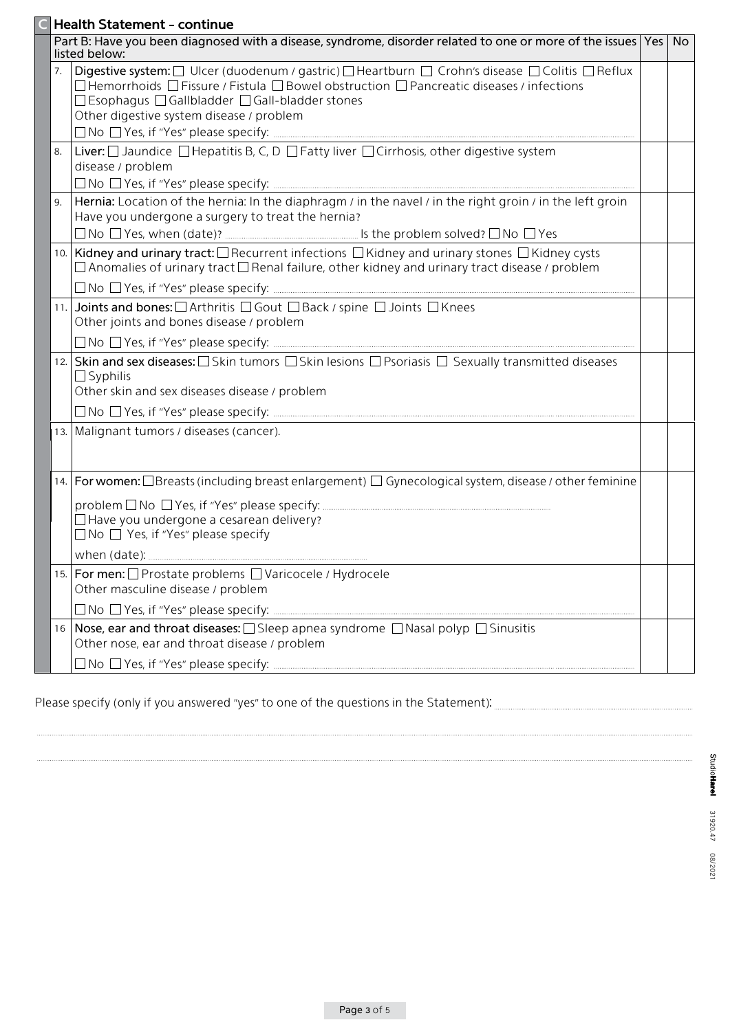|    | <b>Health Statement - continue</b>                                                                                                                                                                                                                                                                                                      |     |
|----|-----------------------------------------------------------------------------------------------------------------------------------------------------------------------------------------------------------------------------------------------------------------------------------------------------------------------------------------|-----|
|    | Part B: Have you been diagnosed with a disease, syndrome, disorder related to one or more of the issues Yes<br>listed below:                                                                                                                                                                                                            | No. |
| 7. | Digestive system: $\Box$ Ulcer (duodenum / gastric) $\Box$ Heartburn $\Box$ Crohn's disease $\Box$ Colitis $\Box$ Reflux<br>$\Box$ Hemorrhoids $\Box$ Fissure / Fistula $\Box$ Bowel obstruction $\Box$ Pancreatic diseases / infections<br>□ Esophagus □ Gallbladder □ Gall-bladder stones<br>Other digestive system disease / problem |     |
| 8. | Liver: □ Jaundice □ Hepatitis B, C, D □ Fatty liver □ Cirrhosis, other digestive system<br>disease / problem                                                                                                                                                                                                                            |     |
| 9. | Hernia: Location of the hernia: In the diaphragm / in the navel / in the right groin / in the left groin<br>Have you undergone a surgery to treat the hernia?                                                                                                                                                                           |     |
|    | 10. Kidney and urinary tract: □ Recurrent infections □ Kidney and urinary stones □ Kidney cysts<br>$\Box$ Anomalies of urinary tract $\Box$ Renal failure, other kidney and urinary tract disease / problem                                                                                                                             |     |
|    | 11. Joints and bones: □ Arthritis □ Gout □ Back / spine □ Joints □ Knees<br>Other joints and bones disease / problem                                                                                                                                                                                                                    |     |
|    | 12. Skin and sex diseases: $\Box$ Skin tumors $\Box$ Skin lesions $\Box$ Psoriasis $\Box$ Sexually transmitted diseases<br>$\Box$ Syphilis<br>Other skin and sex diseases disease / problem                                                                                                                                             |     |
|    |                                                                                                                                                                                                                                                                                                                                         |     |
|    | 13. Malignant tumors / diseases (cancer).                                                                                                                                                                                                                                                                                               |     |
|    | 14.   For women: $\Box$ Breasts (including breast enlargement) $\Box$ Gynecological system, disease / other feminine                                                                                                                                                                                                                    |     |
|    | $\Box$ Have you undergone a cesarean delivery?<br>$\Box$ No $\Box$ Yes, if "Yes" please specify                                                                                                                                                                                                                                         |     |
|    |                                                                                                                                                                                                                                                                                                                                         |     |
|    | 15.   For men: O Prostate problems O Varicocele / Hydrocele<br>Other masculine disease / problem                                                                                                                                                                                                                                        |     |
|    |                                                                                                                                                                                                                                                                                                                                         |     |
|    | 16   Nose, ear and throat diseases: □ Sleep apnea syndrome □ Nasal polyp □ Sinusitis<br>Other nose, ear and throat disease / problem                                                                                                                                                                                                    |     |
|    |                                                                                                                                                                                                                                                                                                                                         |     |

Please specify (only if you answered "yes" to one of the questions in the Statement): [[[[[[[[[[[[[[[[[[[[[[[[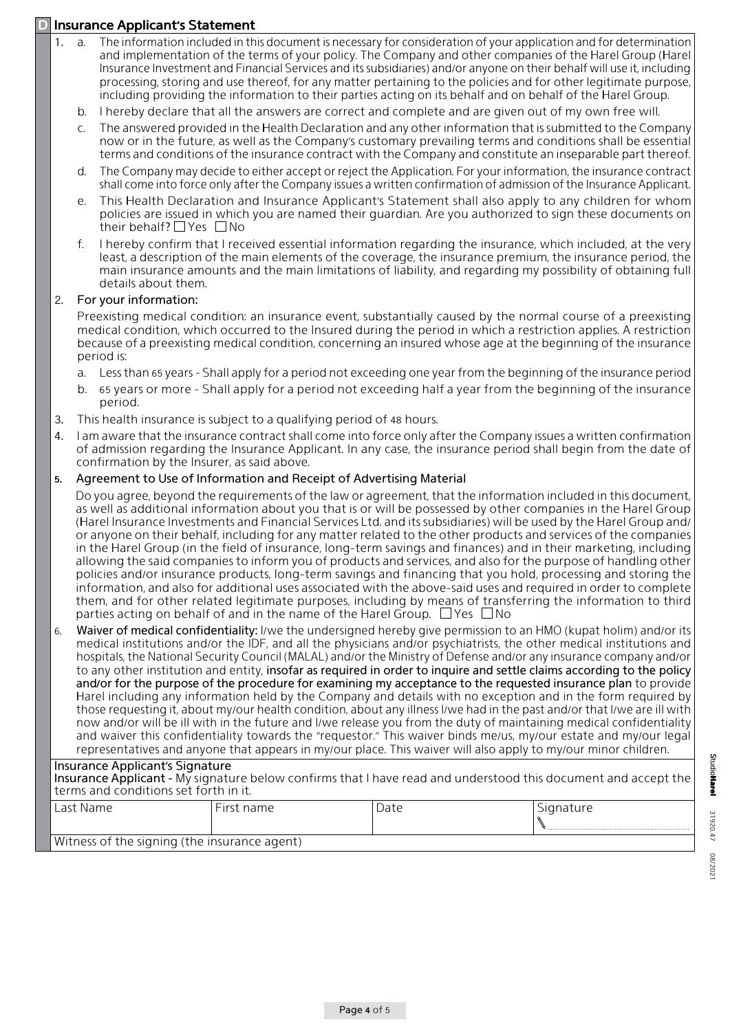## **Insurance Applicant's Statement**

- 1. a. The information included in this document is necessary for consideration of your application and for determination and implementation of the terms of your policy. The Company and other companies of the Harel Group (Harel Insurance Investment and Financial Services and its subsidiaries) and/or anyone on their behalf will use it, including processing, storing and use thereof, for any matter pertaining to the policies and for other legitimate purpose, including providing the information to their parties acting on its behalf and on behalf of the Harel Group.
	- b. I hereby declare that all the answers are correct and complete and are given out of my own free will.
	- c. The answered provided in the Health Declaration and any other information that is submitted to the Company now or in the future, as well as the Company's customary prevailing terms and conditions shall be essential terms and conditions of the insurance contract with the Company and constitute an inseparable part thereof.
	- The Company may decide to either accept or reject the Application. For your information, the insurance contract shall come into force only after the Company issues a written confirmation of admission of the Insurance Applicant.
	- e. This Health Declaration and Insurance Applicant's Statement shall also apply to any children for whom policies are issued in which you are named their quardian. Are you authorized to sign these documents on their behalf?  $\Box$  Yes  $\Box$  No
	- f. I hereby confirm that I received essential information regarding the insurance, which included, at the very least, a description of the main elements of the coverage, the insurance premium, the insurance period, the main insurance amounts and the main limitations of liability, and regarding my possibility of obtaining full details about them.

#### 2. For your information:

Preexisting medical condition: an insurance event, substantially caused by the normal course of a preexisting medical condition, which occurred to the Insured during the period in which a restriction applies. A restriction because of a preexisting medical condition, concerning an insured whose age at the beginning of the insurance period is:

- a. Less than 65 years Shall apply for a period not exceeding one year from the beginning of the insurance period
- b. 65 years or more Shall apply for a period not exceeding half a year from the beginning of the insurance .period
- 3. This health insurance is subject to a qualifying period of 48 hours.
- 4. I am aware that the insurance contract shall come into force only after the Company issues a written confirmation of admission regarding the Insurance Applicant. In any case, the insurance period shall begin from the date of confirmation by the Insurer, as said above.

#### 5. Agreement to Use of Information and Receipt of Advertising Material

Do you agree, beyond the requirements of the law or agreement, that the information included in this document, as well as additional information about you that is or will be possessed by other companies in the Harel Group (Harel Insurance Investments and Financial Services Ltd. and its subsidiaries) will be used by the Harel Group and/ or anyone on their behalf, including for any matter related to the other products and services of the companies in the Harel Group (in the field of insurance, long-term savings and finances) and in their marketing, including allowing the said companies to inform you of products and services, and also for the purpose of handling other policies and/or insurance products, long-term savings and financing that you hold, processing and storing the information, and also for additional uses associated with the above-said uses and required in order to complete them, and for other related legitimate purposes, including by means of transferring the information to third parties acting on behalf of and in the name of the Harel Group.  $\Box$  Yes  $\Box$  No

6. Waiver of medical confidentiality: I/we the undersigned hereby give permission to an HMO (kupat holim) and/or its medical institutions and/or the IDF, and all the physicians and/or psychiatrists, the other medical institutions and hospitals, the National Security Council (MALAL) and/or the Ministry of Defense and/or any insurance company and/or to any other institution and entity, insofar as required in order to inquire and settle claims according to the policy and/or for the purpose of the procedure for examining my acceptance to the requested insurance plan to provide Harel including any information held by the Company and details with no exception and in the form required by those requesting it, about my/our health condition, about any illness I/we had in the past and/or that I/we are ill with now and/or will be ill with in the future and l/we release you from the duty of maintaining medical confidentiality and waiver this confidentiality towards the "requestor." This waiver binds me/us, my/our estate and my/our legal representatives and anyone that appears in my/our place. This waiver will also apply to my/our minor children.

#### Insurance Applicant's Signature

Insurance Applicant - My signature below confirms that I have read and understood this document and accept the terms and conditions set forth in it.

| _as†<br><b>Name</b>                          | name:<br>. First | Date | Sianature |
|----------------------------------------------|------------------|------|-----------|
|                                              |                  |      |           |
| Witness of the signing (the insurance agent) |                  |      |           |

StudioHarel 31920.47 08/2021 31920.47 202/80